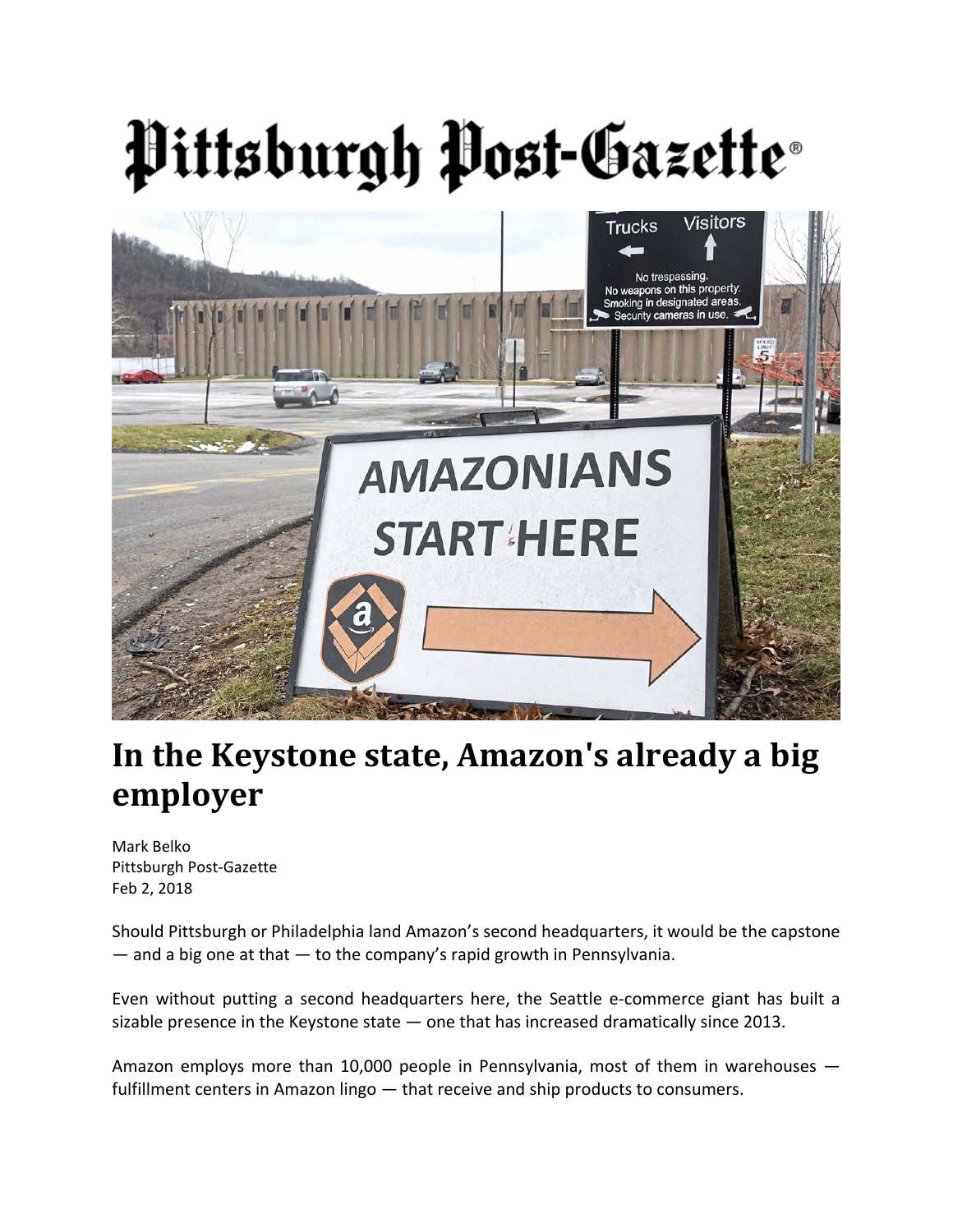# Pittsburgh Post-Gazette®



## **In the Keystone state, Amazon's already a big employer**

Mark Belko Pittsburgh Post‐Gazette Feb 2, 2018

Should Pittsburgh or Philadelphia land Amazon's second headquarters, it would be the capstone  $-$  and a big one at that  $-$  to the company's rapid growth in Pennsylvania.

Even without putting a second headquarters here, the Seattle e-commerce giant has built a sizable presence in the Keystone state — one that has increased dramatically since 2013.

Amazon employs more than 10,000 people in Pennsylvania, most of them in warehouses fulfillment centers in Amazon lingo — that receive and ship products to consumers.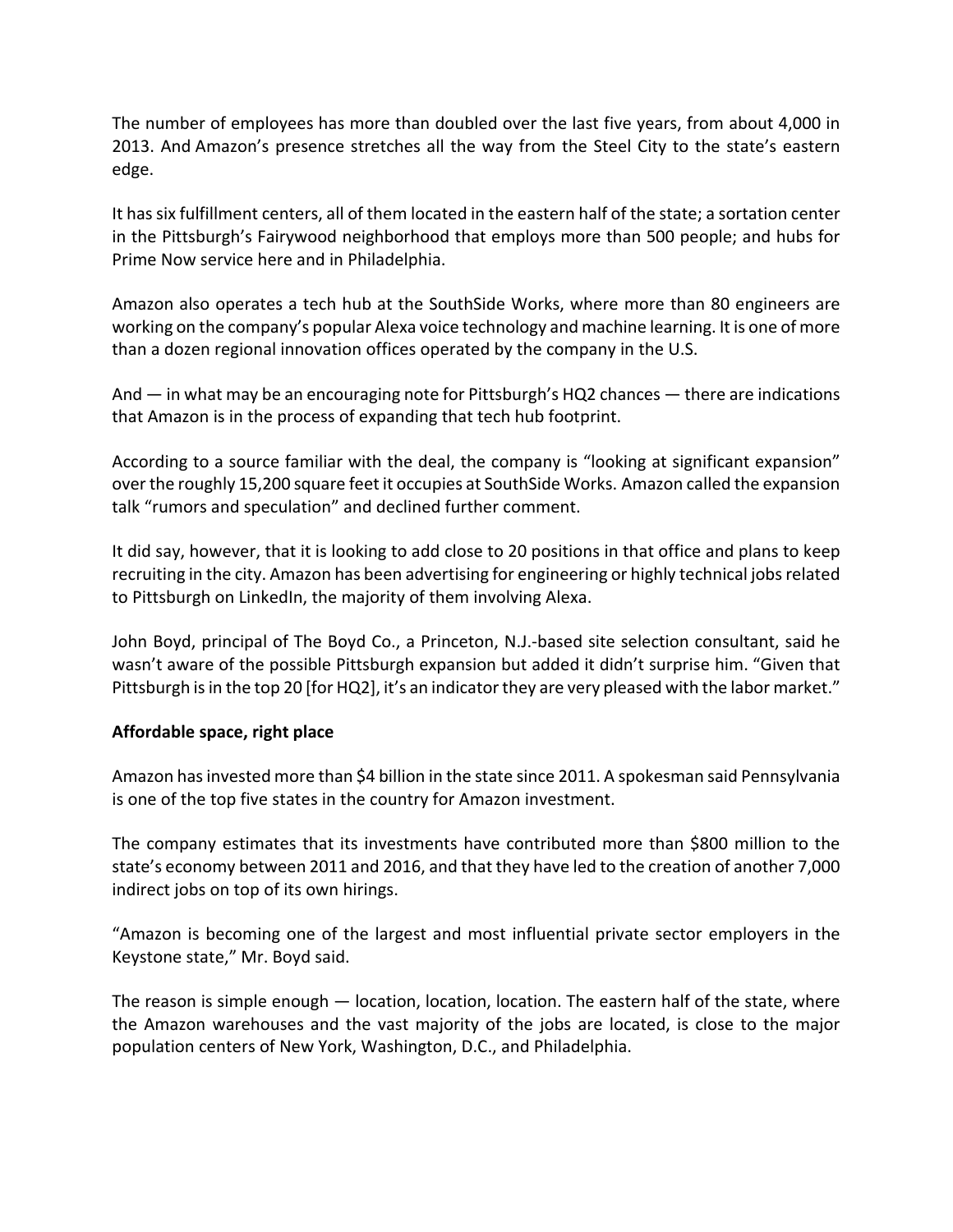The number of employees has more than doubled over the last five years, from about 4,000 in 2013. And Amazon's presence stretches all the way from the Steel City to the state's eastern edge.

It hassix fulfillment centers, all of them located in the eastern half of the state; a sortation center in the Pittsburgh's Fairywood neighborhood that employs more than 500 people; and hubs for Prime Now service here and in Philadelphia.

Amazon also operates a tech hub at the SouthSide Works, where more than 80 engineers are working on the company's popular Alexa voice technology and machine learning. It is one of more than a dozen regional innovation offices operated by the company in the U.S.

And — in what may be an encouraging note for Pittsburgh's HQ2 chances — there are indications that Amazon is in the process of expanding that tech hub footprint.

According to a source familiar with the deal, the company is "looking at significant expansion" overthe roughly 15,200 square feet it occupies at SouthSide Works. Amazon called the expansion talk "rumors and speculation" and declined further comment.

It did say, however, that it is looking to add close to 20 positions in that office and plans to keep recruiting in the city. Amazon has been advertising for engineering or highly technical jobsrelated to Pittsburgh on LinkedIn, the majority of them involving Alexa.

John Boyd, principal of The Boyd Co., a Princeton, N.J.‐based site selection consultant, said he wasn't aware of the possible Pittsburgh expansion but added it didn't surprise him. "Given that Pittsburgh is in the top 20 [for HQ2], it's an indicator they are very pleased with the labor market."

### **Affordable space, right place**

Amazon hasinvested more than \$4 billion in the state since 2011. A spokesman said Pennsylvania is one of the top five states in the country for Amazon investment.

The company estimates that its investments have contributed more than \$800 million to the state's economy between 2011 and 2016, and that they have led to the creation of another 7,000 indirect jobs on top of its own hirings.

"Amazon is becoming one of the largest and most influential private sector employers in the Keystone state," Mr. Boyd said.

The reason is simple enough — location, location, location. The eastern half of the state, where the Amazon warehouses and the vast majority of the jobs are located, is close to the major population centers of New York, Washington, D.C., and Philadelphia.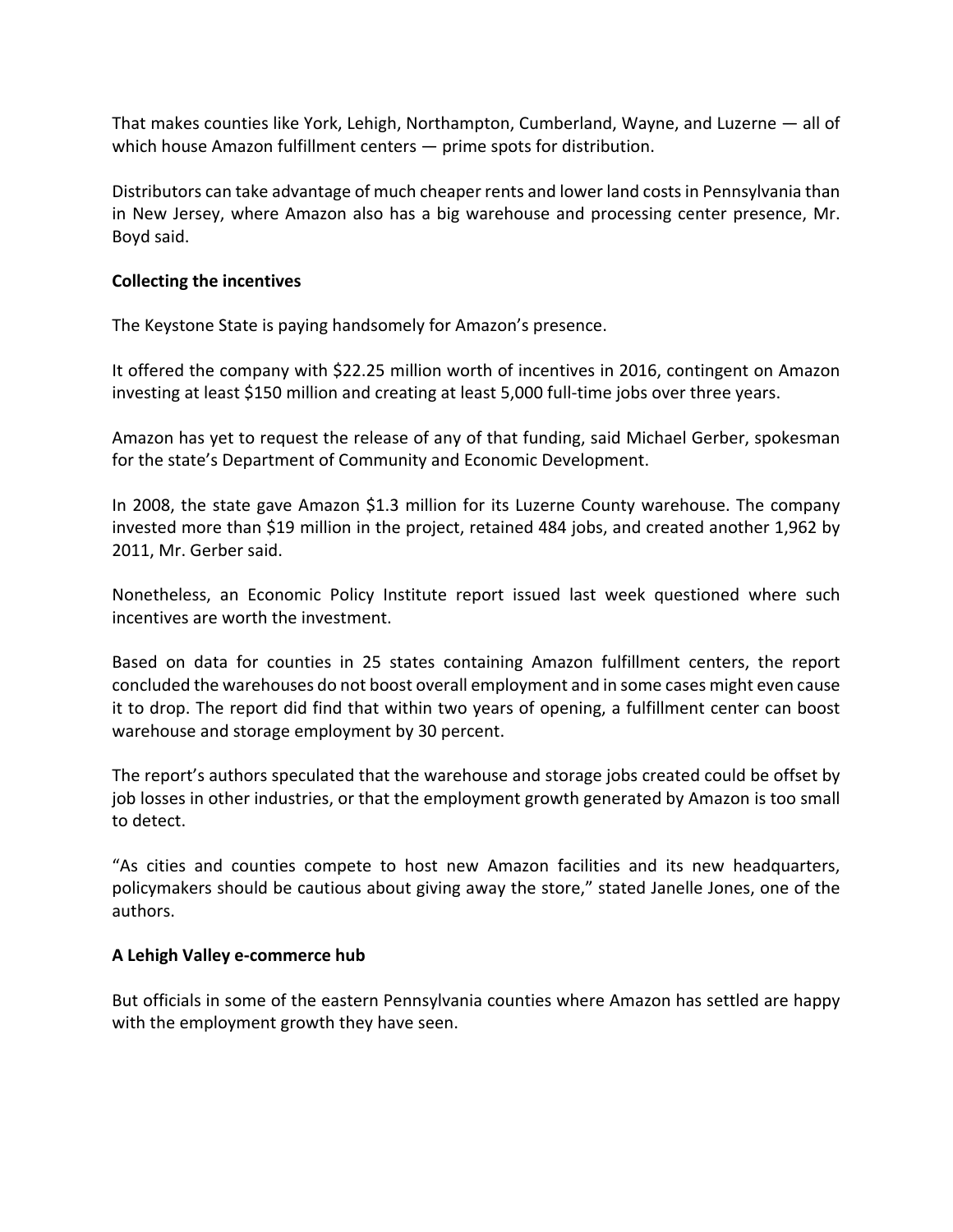That makes counties like York, Lehigh, Northampton, Cumberland, Wayne, and Luzerne — all of which house Amazon fulfillment centers — prime spots for distribution.

Distributors can take advantage of much cheaper rents and lower land costsin Pennsylvania than in New Jersey, where Amazon also has a big warehouse and processing center presence, Mr. Boyd said.

#### **Collecting the incentives**

The Keystone State is paying handsomely for Amazon's presence.

It offered the company with \$22.25 million worth of incentives in 2016, contingent on Amazon investing at least \$150 million and creating at least 5,000 full‐time jobs over three years.

Amazon has yet to request the release of any of that funding, said Michael Gerber, spokesman for the state's Department of Community and Economic Development.

In 2008, the state gave Amazon \$1.3 million for its Luzerne County warehouse. The company invested more than \$19 million in the project, retained 484 jobs, and created another 1,962 by 2011, Mr. Gerber said.

Nonetheless, an Economic Policy Institute report issued last week questioned where such incentives are worth the investment.

Based on data for counties in 25 states containing Amazon fulfillment centers, the report concluded the warehouses do not boost overall employment and in some cases might even cause it to drop. The report did find that within two years of opening, a fulfillment center can boost warehouse and storage employment by 30 percent.

The report's authors speculated that the warehouse and storage jobs created could be offset by job losses in other industries, or that the employment growth generated by Amazon is too small to detect.

"As cities and counties compete to host new Amazon facilities and its new headquarters, policymakers should be cautious about giving away the store," stated Janelle Jones, one of the authors.

#### **A Lehigh Valley e‐commerce hub**

But officials in some of the eastern Pennsylvania counties where Amazon has settled are happy with the employment growth they have seen.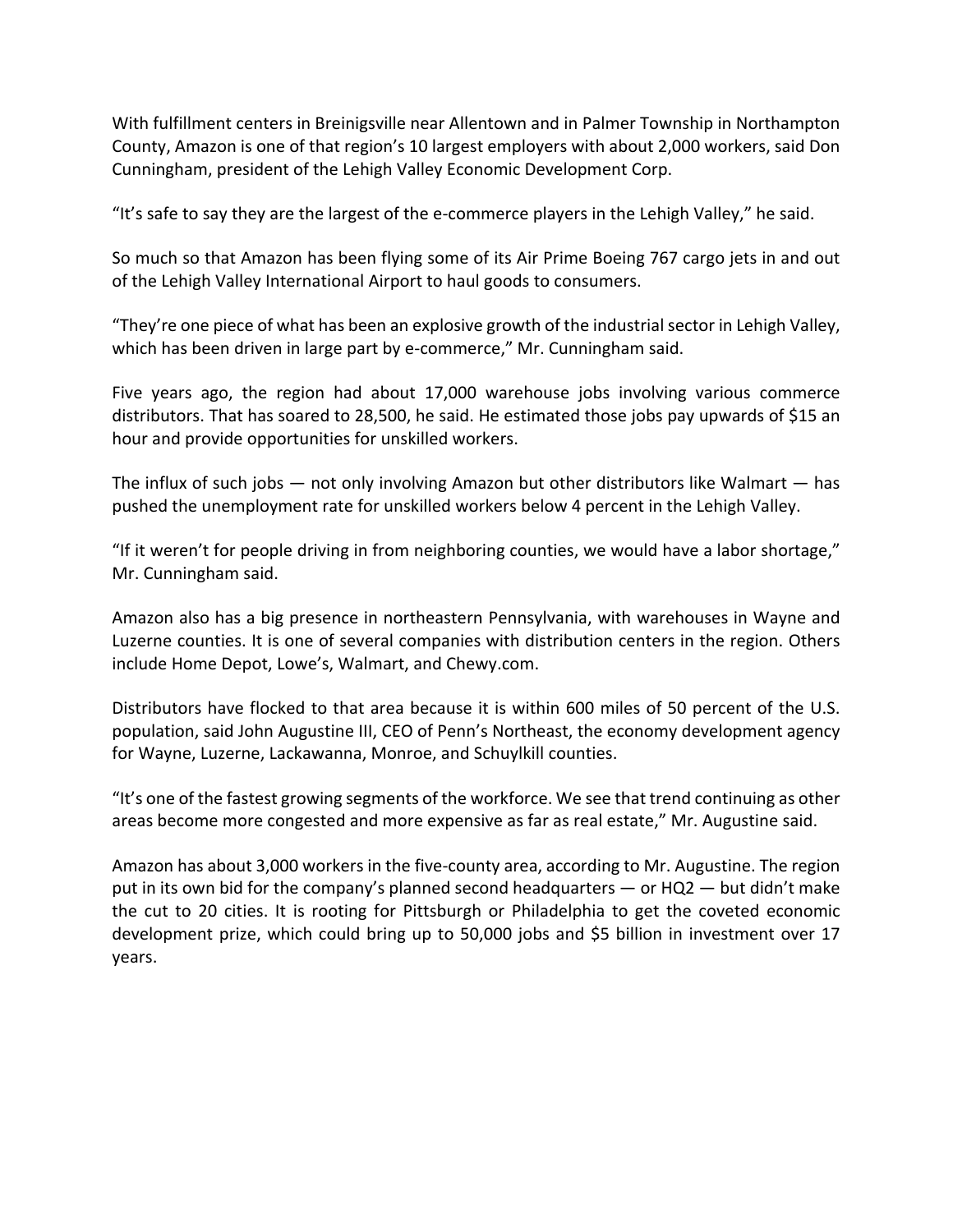With fulfillment centers in Breinigsville near Allentown and in Palmer Township in Northampton County, Amazon is one of that region's 10 largest employers with about 2,000 workers, said Don Cunningham, president of the Lehigh Valley Economic Development Corp.

"It's safe to say they are the largest of the e‐commerce players in the Lehigh Valley," he said.

So much so that Amazon has been flying some of its Air Prime Boeing 767 cargo jets in and out of the Lehigh Valley International Airport to haul goods to consumers.

"They're one piece of what has been an explosive growth of the industrial sector in Lehigh Valley, which has been driven in large part by e-commerce," Mr. Cunningham said.

Five years ago, the region had about 17,000 warehouse jobs involving various commerce distributors. That has soared to 28,500, he said. He estimated those jobs pay upwards of \$15 an hour and provide opportunities for unskilled workers.

The influx of such jobs — not only involving Amazon but other distributors like Walmart — has pushed the unemployment rate for unskilled workers below 4 percent in the Lehigh Valley.

"If it weren't for people driving in from neighboring counties, we would have a labor shortage," Mr. Cunningham said.

Amazon also has a big presence in northeastern Pennsylvania, with warehouses in Wayne and Luzerne counties. It is one of several companies with distribution centers in the region. Others include Home Depot, Lowe's, Walmart, and Chewy.com.

Distributors have flocked to that area because it is within 600 miles of 50 percent of the U.S. population, said John Augustine III, CEO of Penn's Northeast, the economy development agency for Wayne, Luzerne, Lackawanna, Monroe, and Schuylkill counties.

"It's one of the fastest growing segments of the workforce. We see that trend continuing as other areas become more congested and more expensive as far as real estate," Mr. Augustine said.

Amazon has about 3,000 workers in the five‐county area, according to Mr. Augustine. The region put in its own bid for the company's planned second headquarters — or HQ2 — but didn't make the cut to 20 cities. It is rooting for Pittsburgh or Philadelphia to get the coveted economic development prize, which could bring up to 50,000 jobs and \$5 billion in investment over 17 years.